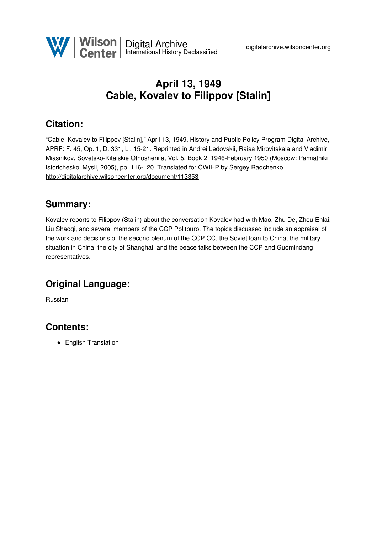

# **April 13, 1949 Cable, Kovalev to Filippov [Stalin]**

## **Citation:**

"Cable, Kovalev to Filippov [Stalin]," April 13, 1949, History and Public Policy Program Digital Archive, APRF: F. 45, Op. 1, D. 331, Ll. 15-21. Reprinted in Andrei Ledovskii, Raisa Mirovitskaia and Vladimir Miasnikov, Sovetsko-Kitaiskie Otnosheniia, Vol. 5, Book 2, 1946-February 1950 (Moscow: Pamiatniki Istoricheskoi Mysli, 2005), pp. 116-120. Translated for CWIHP by Sergey Radchenko. <http://digitalarchive.wilsoncenter.org/document/113353>

#### **Summary:**

Kovalev reports to Filippov (Stalin) about the conversation Kovalev had with Mao, Zhu De, Zhou Enlai, Liu Shaoqi, and several members of the CCP Politburo. The topics discussed include an appraisal of the work and decisions of the second plenum of the CCP CC, the Soviet loan to China, the military situation in China, the city of Shanghai, and the peace talks between the CCP and Guomindang representatives.

### **Original Language:**

Russian

### **Contents:**

• English Translation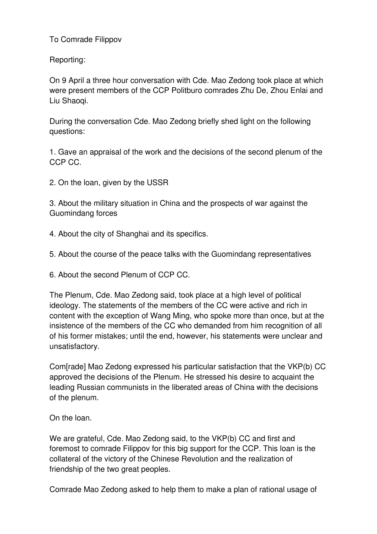To Comrade Filippov

Reporting:

On 9 April a three hour conversation with Cde. Mao Zedong took place at which were present members of the CCP Politburo comrades Zhu De, Zhou Enlai and Liu Shaoqi.

During the conversation Cde. Mao Zedong briefly shed light on the following questions:

1. Gave an appraisal of the work and the decisions of the second plenum of the CCP CC.

2. On the loan, given by the USSR

3. About the military situation in China and the prospects of war against the Guomindang forces

4. About the city of Shanghai and its specifics.

5. About the course of the peace talks with the Guomindang representatives

6. About the second Plenum of CCP CC.

The Plenum, Cde. Mao Zedong said, took place at a high level of political ideology. The statements of the members of the CC were active and rich in content with the exception of Wang Ming, who spoke more than once, but at the insistence of the members of the CC who demanded from him recognition of all of his former mistakes; until the end, however, his statements were unclear and unsatisfactory.

Com[rade] Mao Zedong expressed his particular satisfaction that the VKP(b) CC approved the decisions of the Plenum. He stressed his desire to acquaint the leading Russian communists in the liberated areas of China with the decisions of the plenum.

On the loan.

We are grateful, Cde. Mao Zedong said, to the VKP(b) CC and first and foremost to comrade Filippov for this big support for the CCP. This loan is the collateral of the victory of the Chinese Revolution and the realization of friendship of the two great peoples.

Comrade Mao Zedong asked to help them to make a plan of rational usage of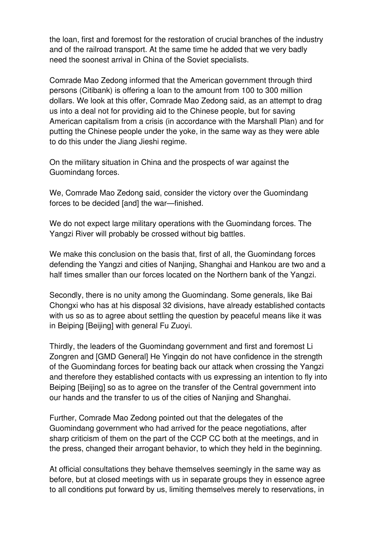the loan, first and foremost for the restoration of crucial branches of the industry and of the railroad transport. At the same time he added that we very badly need the soonest arrival in China of the Soviet specialists.

Comrade Mao Zedong informed that the American government through third persons (Citibank) is offering a loan to the amount from 100 to 300 million dollars. We look at this offer, Comrade Mao Zedong said, as an attempt to drag us into a deal not for providing aid to the Chinese people, but for saving American capitalism from a crisis (in accordance with the Marshall Plan) and for putting the Chinese people under the yoke, in the same way as they were able to do this under the Jiang Jieshi regime.

On the military situation in China and the prospects of war against the Guomindang forces.

We, Comrade Mao Zedong said, consider the victory over the Guomindang forces to be decided [and] the war—finished.

We do not expect large military operations with the Guomindang forces. The Yangzi River will probably be crossed without big battles.

We make this conclusion on the basis that, first of all, the Guomindang forces defending the Yangzi and cities of Nanjing, Shanghai and Hankou are two and a half times smaller than our forces located on the Northern bank of the Yangzi.

Secondly, there is no unity among the Guomindang. Some generals, like Bai Chongxi who has at his disposal 32 divisions, have already established contacts with us so as to agree about settling the question by peaceful means like it was in Beiping [Beijing] with general Fu Zuoyi.

Thirdly, the leaders of the Guomindang government and first and foremost Li Zongren and [GMD General] He Yingqin do not have confidence in the strength of the Guomindang forces for beating back our attack when crossing the Yangzi and therefore they established contacts with us expressing an intention to fly into Beiping [Beijing] so as to agree on the transfer of the Central government into our hands and the transfer to us of the cities of Nanjing and Shanghai.

Further, Comrade Mao Zedong pointed out that the delegates of the Guomindang government who had arrived for the peace negotiations, after sharp criticism of them on the part of the CCP CC both at the meetings, and in the press, changed their arrogant behavior, to which they held in the beginning.

At official consultations they behave themselves seemingly in the same way as before, but at closed meetings with us in separate groups they in essence agree to all conditions put forward by us, limiting themselves merely to reservations, in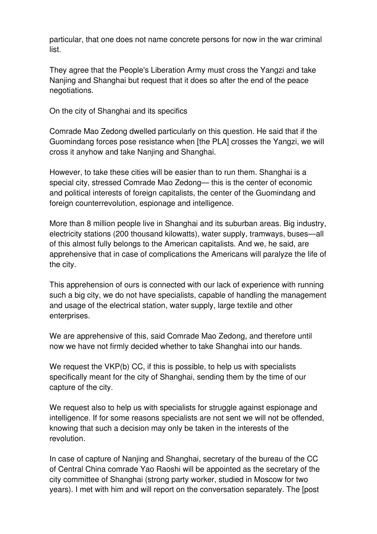particular, that one does not name concrete persons for now in the war criminal list.

They agree that the People's Liberation Army must cross the Yangzi and take Nanjing and Shanghai but request that it does so after the end of the peace negotiations.

On the city of Shanghai and its specifics

Comrade Mao Zedong dwelled particularly on this question. He said that if the Guomindang forces pose resistance when [the PLA] crosses the Yangzi, we will cross it anyhow and take Nanjing and Shanghai.

However, to take these cities will be easier than to run them. Shanghai is a special city, stressed Comrade Mao Zedong— this is the center of economic and political interests of foreign capitalists, the center of the Guomindang and foreign counterrevolution, espionage and intelligence.

More than 8 million people live in Shanghai and its suburban areas. Big industry, electricity stations (200 thousand kilowatts), water supply, tramways, buses—all of this almost fully belongs to the American capitalists. And we, he said, are apprehensive that in case of complications the Americans will paralyze the life of the city.

This apprehension of ours is connected with our lack of experience with running such a big city, we do not have specialists, capable of handling the management and usage of the electrical station, water supply, large textile and other enterprises.

We are apprehensive of this, said Comrade Mao Zedong, and therefore until now we have not firmly decided whether to take Shanghai into our hands.

We request the VKP(b) CC, if this is possible, to help us with specialists specifically meant for the city of Shanghai, sending them by the time of our capture of the city.

We request also to help us with specialists for struggle against espionage and intelligence. If for some reasons specialists are not sent we will not be offended, knowing that such a decision may only be taken in the interests of the revolution.

In case of capture of Nanjing and Shanghai, secretary of the bureau of the CC of Central China comrade Yao Raoshi will be appointed as the secretary of the city committee of Shanghai (strong party worker, studied in Moscow for two years). I met with him and will report on the conversation separately. The [post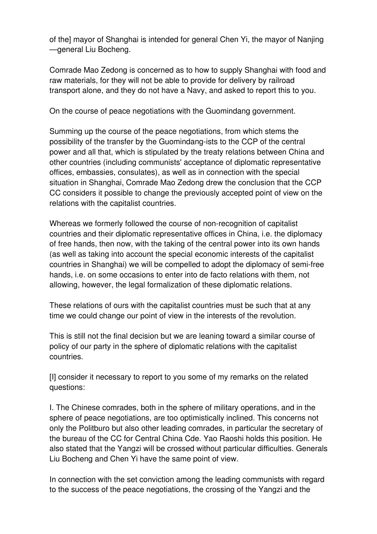of the] mayor of Shanghai is intended for general Chen Yi, the mayor of Nanjing —general Liu Bocheng.

Comrade Mao Zedong is concerned as to how to supply Shanghai with food and raw materials, for they will not be able to provide for delivery by railroad transport alone, and they do not have a Navy, and asked to report this to you.

On the course of peace negotiations with the Guomindang government.

Summing up the course of the peace negotiations, from which stems the possibility of the transfer by the Guomindang-ists to the CCP of the central power and all that, which is stipulated by the treaty relations between China and other countries (including communists' acceptance of diplomatic representative offices, embassies, consulates), as well as in connection with the special situation in Shanghai, Comrade Mao Zedong drew the conclusion that the CCP CC considers it possible to change the previously accepted point of view on the relations with the capitalist countries.

Whereas we formerly followed the course of non-recognition of capitalist countries and their diplomatic representative offices in China, i.e. the diplomacy of free hands, then now, with the taking of the central power into its own hands (as well as taking into account the special economic interests of the capitalist countries in Shanghai) we will be compelled to adopt the diplomacy of semi-free hands, i.e. on some occasions to enter into de facto relations with them, not allowing, however, the legal formalization of these diplomatic relations.

These relations of ours with the capitalist countries must be such that at any time we could change our point of view in the interests of the revolution.

This is still not the final decision but we are leaning toward a similar course of policy of our party in the sphere of diplomatic relations with the capitalist countries.

[I] consider it necessary to report to you some of my remarks on the related questions:

I. The Chinese comrades, both in the sphere of military operations, and in the sphere of peace negotiations, are too optimistically inclined. This concerns not only the Politburo but also other leading comrades, in particular the secretary of the bureau of the CC for Central China Cde. Yao Raoshi holds this position. He also stated that the Yangzi will be crossed without particular difficulties. Generals Liu Bocheng and Chen Yi have the same point of view.

In connection with the set conviction among the leading communists with regard to the success of the peace negotiations, the crossing of the Yangzi and the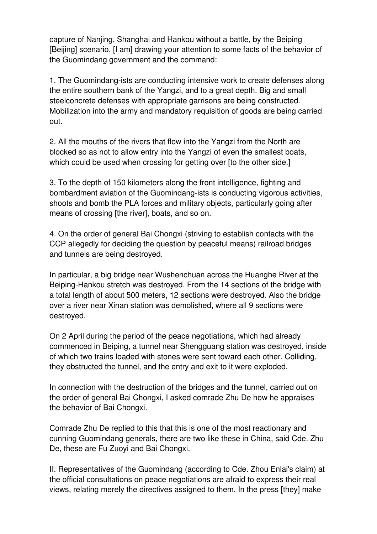capture of Nanjing, Shanghai and Hankou without a battle, by the Beiping [Beijing] scenario, [I am] drawing your attention to some facts of the behavior of the Guomindang government and the command:

1. The Guomindang-ists are conducting intensive work to create defenses along the entire southern bank of the Yangzi, and to a great depth. Big and small steelconcrete defenses with appropriate garrisons are being constructed. Mobilization into the army and mandatory requisition of goods are being carried out.

2. All the mouths of the rivers that flow into the Yangzi from the North are blocked so as not to allow entry into the Yangzi of even the smallest boats, which could be used when crossing for getting over [to the other side.]

3. To the depth of 150 kilometers along the front intelligence, fighting and bombardment aviation of the Guomindang-ists is conducting vigorous activities, shoots and bomb the PLA forces and military objects, particularly going after means of crossing [the river], boats, and so on.

4. On the order of general Bai Chongxi (striving to establish contacts with the CCP allegedly for deciding the question by peaceful means) railroad bridges and tunnels are being destroyed.

In particular, a big bridge near Wushenchuan across the Huanghe River at the Beiping-Hankou stretch was destroyed. From the 14 sections of the bridge with a total length of about 500 meters, 12 sections were destroyed. Also the bridge over a river near Xinan station was demolished, where all 9 sections were destroyed.

On 2 April during the period of the peace negotiations, which had already commenced in Beiping, a tunnel near Shengguang station was destroyed, inside of which two trains loaded with stones were sent toward each other. Colliding, they obstructed the tunnel, and the entry and exit to it were exploded.

In connection with the destruction of the bridges and the tunnel, carried out on the order of general Bai Chongxi, I asked comrade Zhu De how he appraises the behavior of Bai Chongxi.

Comrade Zhu De replied to this that this is one of the most reactionary and cunning Guomindang generals, there are two like these in China, said Cde. Zhu De, these are Fu Zuoyi and Bai Chongxi.

II. Representatives of the Guomindang (according to Cde. Zhou Enlai's claim) at the official consultations on peace negotiations are afraid to express their real views, relating merely the directives assigned to them. In the press [they] make